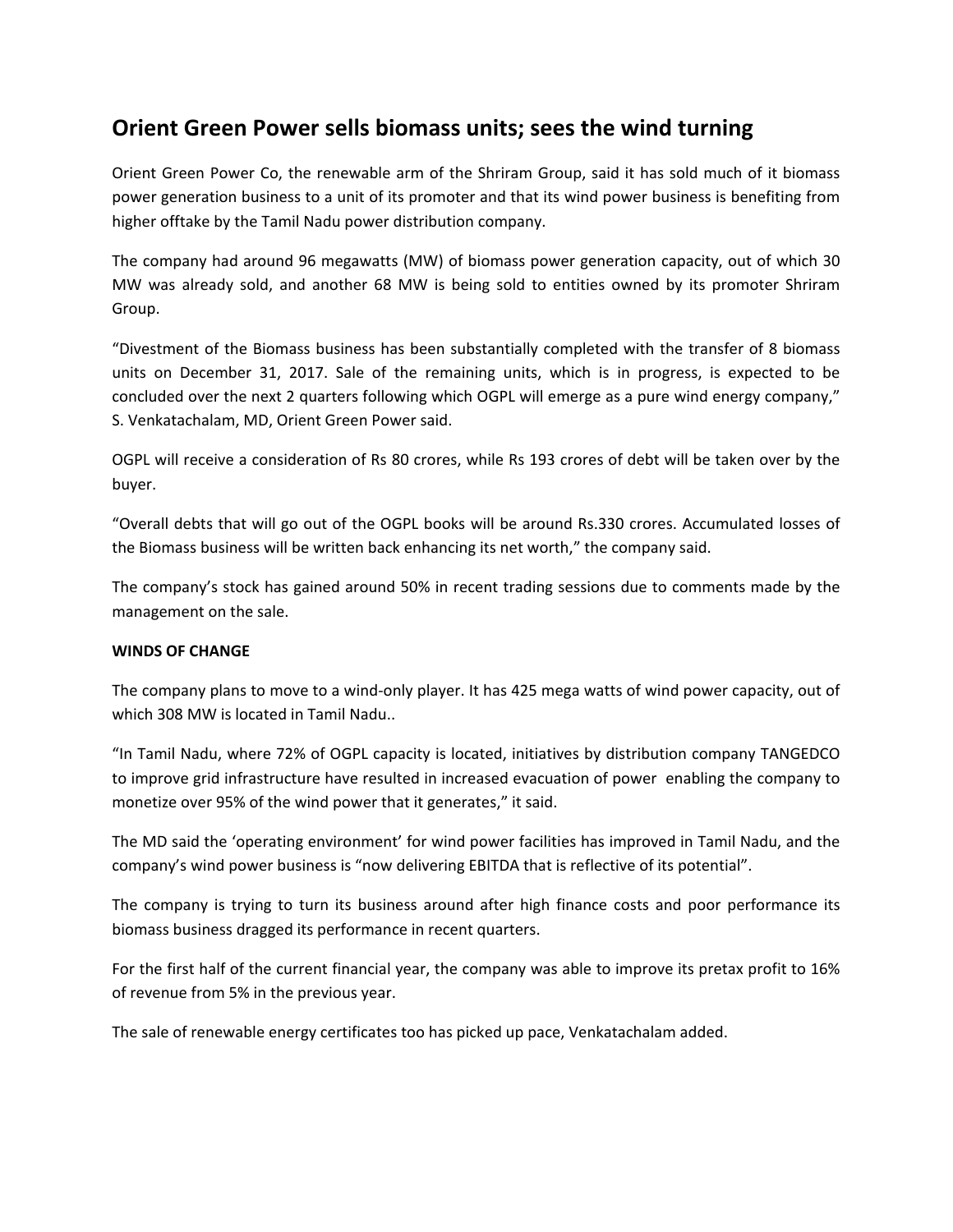## **Orient Green Power sells biomass units; sees the wind turning**

Orient Green Power Co, the renewable arm of the Shriram Group, said it has sold much of it biomass power generation business to a unit of its promoter and that its wind power business is benefiting from higher offtake by the Tamil Nadu power distribution company.

The company had around 96 megawatts (MW) of biomass power generation capacity, out of which 30 MW was already sold, and another 68 MW is being sold to entities owned by its promoter Shriram Group.

"Divestment of the Biomass business has been substantially completed with the transfer of 8 biomass units on December 31, 2017. Sale of the remaining units, which is in progress, is expected to be concluded over the next 2 quarters following which OGPL will emerge as a pure wind energy company," S. Venkatachalam, MD, Orient Green Power said.

OGPL will receive a consideration of Rs 80 crores, while Rs 193 crores of debt will be taken over by the buyer.

"Overall debts that will go out of the OGPL books will be around Rs.330 crores. Accumulated losses of the Biomass business will be written back enhancing its net worth," the company said.

The company's stock has gained around 50% in recent trading sessions due to comments made by the management on the sale.

## **WINDS OF CHANGE**

The company plans to move to a wind-only player. It has 425 mega watts of wind power capacity, out of which 308 MW is located in Tamil Nadu..

"In Tamil Nadu, where 72% of OGPL capacity is located, initiatives by distribution company TANGEDCO to improve grid infrastructure have resulted in increased evacuation of power enabling the company to monetize over 95% of the wind power that it generates," it said.

The MD said the 'operating environment' for wind power facilities has improved in Tamil Nadu, and the company's wind power business is "now delivering EBITDA that is reflective of its potential".

The company is trying to turn its business around after high finance costs and poor performance its biomass business dragged its performance in recent quarters.

For the first half of the current financial year, the company was able to improve its pretax profit to 16% of revenue from 5% in the previous year.

The sale of renewable energy certificates too has picked up pace, Venkatachalam added.